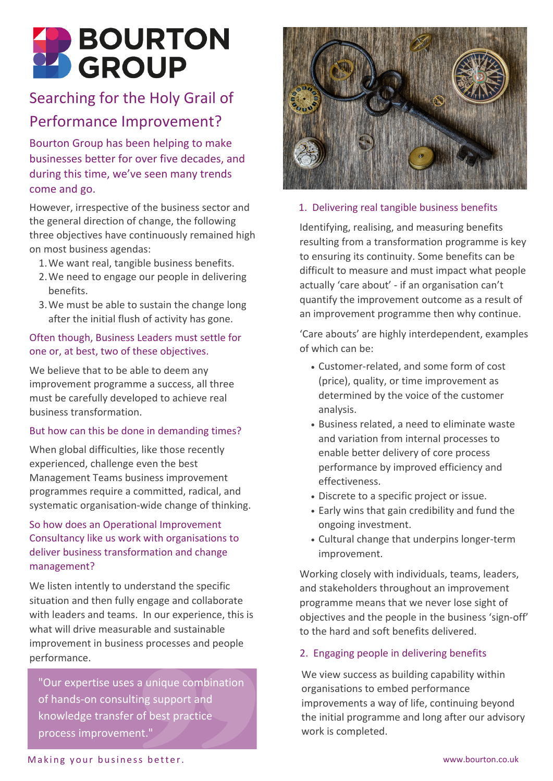

# Searching for the Holy Grail of Performance Improvement?

Bourton Group has been helping to make businesses better for over five decades, and during this time, we've seen many trends come and go.

However, irrespective of the business sector and the general direction of change, the following three objectives have continuously remained high on most business agendas:

- We want real, tangible business benefits. 1.
- We need to engage our people in delivering 2. benefits.
- We must be able to sustain the change long 3. after the initial flush of activity has gone.

## Often though, Business Leaders must settle for one or, at best, two of these objectives.

We believe that to be able to deem any improvement programme a success, all three must be carefully developed to achieve real business transformation.

#### But how can this be done in demanding times?

When global difficulties, like those recently experienced, challenge even the best Management Teams business improvement programmes require a committed, radical, and systematic organisation-wide change of thinking.

## So how does an Operational Improvement Consultancy like us work with organisations to deliver business transformation and change management?

We listen intently to understand the specific situation and then fully engage and collaborate with leaders and teams. In our experience, this is what will drive measurable and sustainable improvement in business processes and people performance.

"Our expertise uses a unique combination of hands-on consulting support and knowledge transfer of best practice process improvement."



#### 1. Delivering real tangible business benefits

Identifying, realising, and measuring benefits resulting from a transformation programme is key to ensuring its continuity. Some benefits can be difficult to measure and must impact what people actually 'care about' - if an organisation can't quantify the improvement outcome as a result of an improvement programme then why continue.

'Care abouts' are highly interdependent, examples of which can be:

- Customer-related, and some form of cost (price), quality, or time improvement as determined by the voice of the customer analysis.
- Business related, a need to eliminate waste and variation from internal processes to enable better delivery of core process performance by improved efficiency and effectiveness.
- Discrete to a specific project or issue.
- Early wins that gain credibility and fund the ongoing investment.
- Cultural change that underpins longer-term improvement.

Working closely with individuals, teams, leaders, and stakeholders throughout an improvement programme means that we never lose sight of objectives and the people in the business 'sign-off' to the hard and soft benefits delivered.

#### 2. Engaging people in delivering benefits

We view success as building capability within organisations to embed performance improvements a way of life, continuing beyond the initial programme and long after our advisory work is completed.